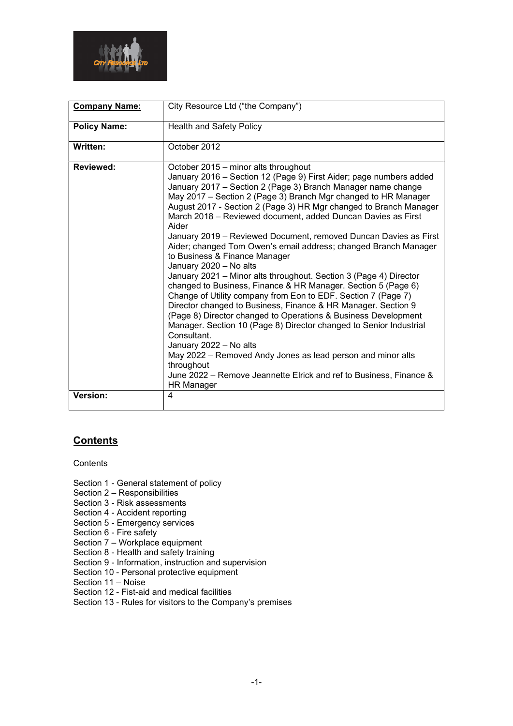

| <b>Company Name:</b> | City Resource Ltd ("the Company")                                                                                                                                                                                                                                                                                                                                                                                                                                                                                                                                                                                                                                                                                                                                                                                                                                                                                                                                                                                                                                                                                                                                                                                             |  |  |  |
|----------------------|-------------------------------------------------------------------------------------------------------------------------------------------------------------------------------------------------------------------------------------------------------------------------------------------------------------------------------------------------------------------------------------------------------------------------------------------------------------------------------------------------------------------------------------------------------------------------------------------------------------------------------------------------------------------------------------------------------------------------------------------------------------------------------------------------------------------------------------------------------------------------------------------------------------------------------------------------------------------------------------------------------------------------------------------------------------------------------------------------------------------------------------------------------------------------------------------------------------------------------|--|--|--|
| <b>Policy Name:</b>  | <b>Health and Safety Policy</b>                                                                                                                                                                                                                                                                                                                                                                                                                                                                                                                                                                                                                                                                                                                                                                                                                                                                                                                                                                                                                                                                                                                                                                                               |  |  |  |
| Written:             | October 2012                                                                                                                                                                                                                                                                                                                                                                                                                                                                                                                                                                                                                                                                                                                                                                                                                                                                                                                                                                                                                                                                                                                                                                                                                  |  |  |  |
| Reviewed:            | October 2015 - minor alts throughout<br>January 2016 - Section 12 (Page 9) First Aider; page numbers added<br>January 2017 - Section 2 (Page 3) Branch Manager name change<br>May 2017 - Section 2 (Page 3) Branch Mgr changed to HR Manager<br>August 2017 - Section 2 (Page 3) HR Mgr changed to Branch Manager<br>March 2018 - Reviewed document, added Duncan Davies as First<br>Aider<br>January 2019 - Reviewed Document, removed Duncan Davies as First<br>Aider; changed Tom Owen's email address; changed Branch Manager<br>to Business & Finance Manager<br>January 2020 - No alts<br>January 2021 - Minor alts throughout. Section 3 (Page 4) Director<br>changed to Business, Finance & HR Manager. Section 5 (Page 6)<br>Change of Utility company from Eon to EDF. Section 7 (Page 7)<br>Director changed to Business, Finance & HR Manager. Section 9<br>(Page 8) Director changed to Operations & Business Development<br>Manager. Section 10 (Page 8) Director changed to Senior Industrial<br>Consultant.<br>January 2022 - No alts<br>May 2022 – Removed Andy Jones as lead person and minor alts<br>throughout<br>June 2022 – Remove Jeannette Elrick and ref to Business, Finance &<br><b>HR Manager</b> |  |  |  |
| Version:             | 4                                                                                                                                                                                                                                                                                                                                                                                                                                                                                                                                                                                                                                                                                                                                                                                                                                                                                                                                                                                                                                                                                                                                                                                                                             |  |  |  |

# **Contents**

**Contents** 

- Section 1 General statement of policy
- Section 2 Responsibilities
- Section 3 Risk assessments
- Section 4 Accident reporting
- Section 5 Emergency services
- Section 6 Fire safety
- Section 7 Workplace equipment
- Section 8 Health and safety training
- Section 9 Information, instruction and supervision
- Section 10 Personal protective equipment
- Section 11 Noise
- Section 12 Fist-aid and medical facilities
- Section 13 Rules for visitors to the Company's premises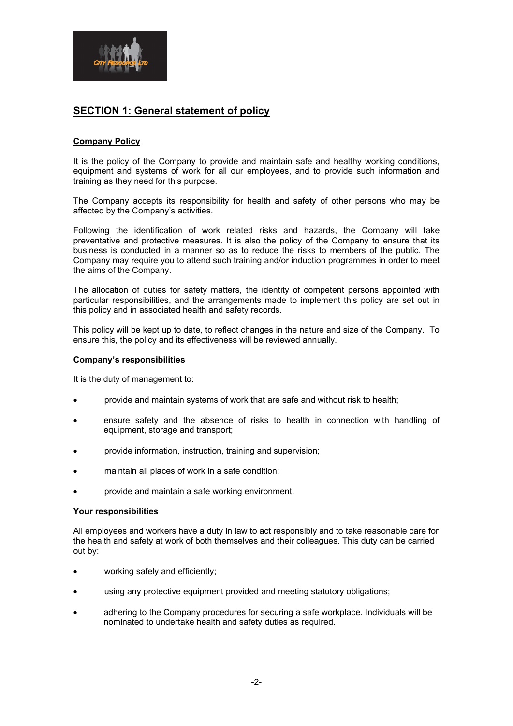

# SECTION 1: General statement of policy

### Company Policy

It is the policy of the Company to provide and maintain safe and healthy working conditions, equipment and systems of work for all our employees, and to provide such information and training as they need for this purpose.

The Company accepts its responsibility for health and safety of other persons who may be affected by the Company's activities.

Following the identification of work related risks and hazards, the Company will take preventative and protective measures. It is also the policy of the Company to ensure that its business is conducted in a manner so as to reduce the risks to members of the public. The Company may require you to attend such training and/or induction programmes in order to meet the aims of the Company.

The allocation of duties for safety matters, the identity of competent persons appointed with particular responsibilities, and the arrangements made to implement this policy are set out in this policy and in associated health and safety records.

This policy will be kept up to date, to reflect changes in the nature and size of the Company. To ensure this, the policy and its effectiveness will be reviewed annually.

#### Company's responsibilities

It is the duty of management to:

- provide and maintain systems of work that are safe and without risk to health;
- ensure safety and the absence of risks to health in connection with handling of equipment, storage and transport;
- provide information, instruction, training and supervision;
- maintain all places of work in a safe condition;
- provide and maintain a safe working environment.

#### Your responsibilities

All employees and workers have a duty in law to act responsibly and to take reasonable care for the health and safety at work of both themselves and their colleagues. This duty can be carried out by:

- working safely and efficiently:
- using any protective equipment provided and meeting statutory obligations;
- adhering to the Company procedures for securing a safe workplace. Individuals will be nominated to undertake health and safety duties as required.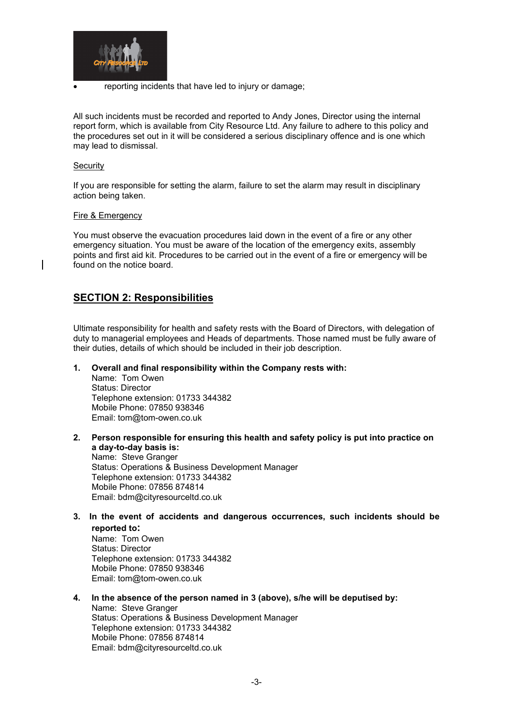

reporting incidents that have led to injury or damage;

All such incidents must be recorded and reported to Andy Jones, Director using the internal report form, which is available from City Resource Ltd. Any failure to adhere to this policy and the procedures set out in it will be considered a serious disciplinary offence and is one which may lead to dismissal.

#### **Security**

If you are responsible for setting the alarm, failure to set the alarm may result in disciplinary action being taken.

#### Fire & Emergency

You must observe the evacuation procedures laid down in the event of a fire or any other emergency situation. You must be aware of the location of the emergency exits, assembly points and first aid kit. Procedures to be carried out in the event of a fire or emergency will be found on the notice board.

# SECTION 2: Responsibilities

Ultimate responsibility for health and safety rests with the Board of Directors, with delegation of duty to managerial employees and Heads of departments. Those named must be fully aware of their duties, details of which should be included in their job description.

1. Overall and final responsibility within the Company rests with:

Name: Tom Owen Status: Director Telephone extension: 01733 344382 Mobile Phone: 07850 938346 Email: tom@tom-owen.co.uk

- 2. Person responsible for ensuring this health and safety policy is put into practice on a day-to-day basis is: Name: Steve Granger Status: Operations & Business Development Manager Telephone extension: 01733 344382 Mobile Phone: 07856 874814 Email: bdm@cityresourceltd.co.uk
- 3. In the event of accidents and dangerous occurrences, such incidents should be reported to:

Name: Tom Owen Status: Director Telephone extension: 01733 344382 Mobile Phone: 07850 938346 Email: tom@tom-owen.co.uk

4. In the absence of the person named in 3 (above), s/he will be deputised by:

Name: Steve Granger Status: Operations & Business Development Manager Telephone extension: 01733 344382 Mobile Phone: 07856 874814 Email: bdm@cityresourceltd.co.uk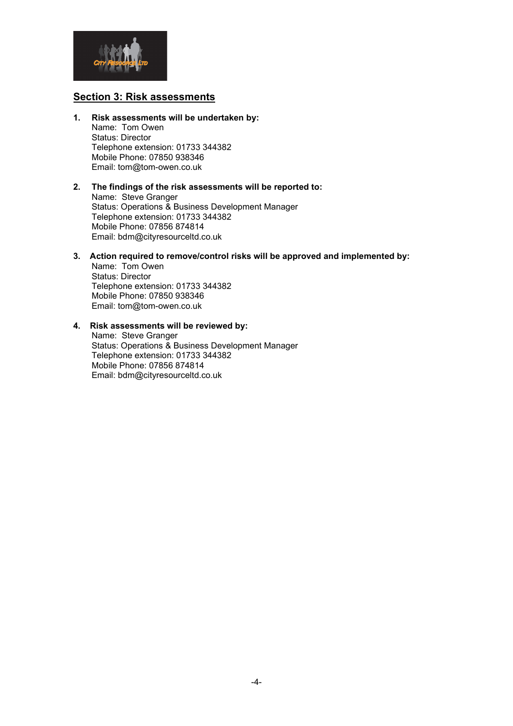

## Section 3: Risk assessments

1. Risk assessments will be undertaken by: Name: Tom Owen Status: Director

 Telephone extension: 01733 344382 Mobile Phone: 07850 938346 Email: tom@tom-owen.co.uk

#### 2. The findings of the risk assessments will be reported to: Name: Steve Granger Status: Operations & Business Development Manager Telephone extension: 01733 344382 Mobile Phone: 07856 874814 Email: bdm@cityresourceltd.co.uk

3. Action required to remove/control risks will be approved and implemented by:

Name: Tom Owen Status: Director Telephone extension: 01733 344382 Mobile Phone: 07850 938346 Email: tom@tom-owen.co.uk

### 4. Risk assessments will be reviewed by:

Name: Steve Granger Status: Operations & Business Development Manager Telephone extension: 01733 344382 Mobile Phone: 07856 874814 Email: bdm@cityresourceltd.co.uk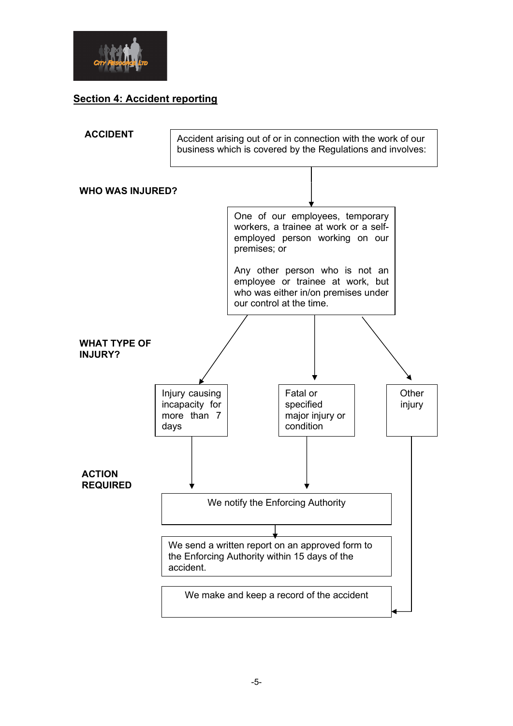

# Section 4: Accident reporting

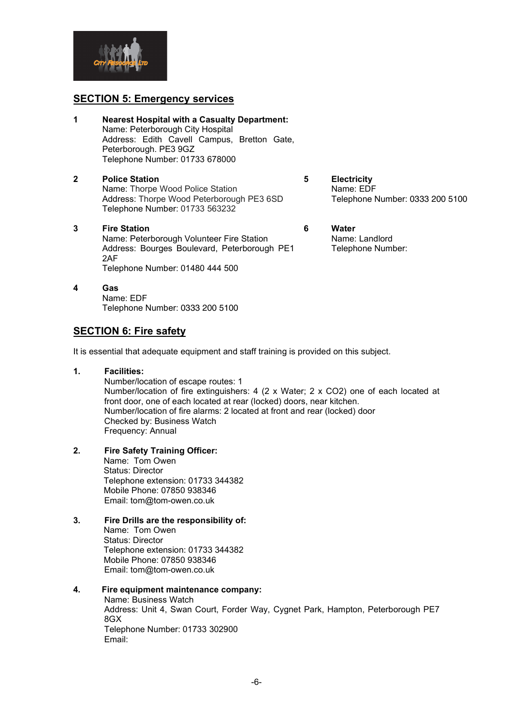

## SECTION 5: Emergency services

- 1 Nearest Hospital with a Casualty Department: Name: Peterborough City Hospital Address: Edith Cavell Campus, Bretton Gate, Peterborough. PE3 9GZ Telephone Number: 01733 678000
- 2 Police Station Name: Thorpe Wood Police Station Address: Thorpe Wood Peterborough PE3 6SD Telephone Number: 01733 563232
- 3 Fire Station Name: Peterborough Volunteer Fire Station Address: Bourges Boulevard, Peterborough PE1 2AF Telephone Number: 01480 444 500
- 4 Gas Name: EDF Telephone Number: 0333 200 5100

### **SECTION 6: Fire safety**

It is essential that adequate equipment and staff training is provided on this subject.

1. Facilities:

Number/location of escape routes: 1 Number/location of fire extinguishers: 4 (2 x Water; 2 x CO2) one of each located at front door, one of each located at rear (locked) doors, near kitchen. Number/location of fire alarms: 2 located at front and rear (locked) door Checked by: Business Watch Frequency: Annual

2. Fire Safety Training Officer:

 Name: Tom Owen Status: Director Telephone extension: 01733 344382 Mobile Phone: 07850 938346 Email: tom@tom-owen.co.uk

3. Fire Drills are the responsibility of: Name: Tom Owen Status: Director Telephone extension: 01733 344382 Mobile Phone: 07850 938346 Email: tom@tom-owen.co.uk

### 4. Fire equipment maintenance company:

Name: Business Watch Address: Unit 4, Swan Court, Forder Way, Cygnet Park, Hampton, Peterborough PE7 8GX Telephone Number: 01733 302900 Email:

- 5 Electricity Name: EDF Telephone Number: 0333 200 5100
- 6 Water Name: Landlord Telephone Number: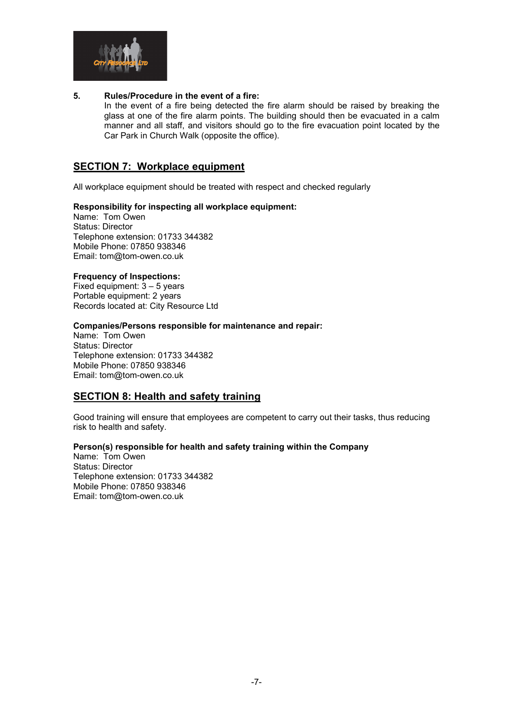

#### 5. Rules/Procedure in the event of a fire:

In the event of a fire being detected the fire alarm should be raised by breaking the glass at one of the fire alarm points. The building should then be evacuated in a calm manner and all staff, and visitors should go to the fire evacuation point located by the Car Park in Church Walk (opposite the office).

# SECTION 7: Workplace equipment

All workplace equipment should be treated with respect and checked regularly

#### Responsibility for inspecting all workplace equipment:

Name: Tom Owen Status: Director Telephone extension: 01733 344382 Mobile Phone: 07850 938346 Email: tom@tom-owen.co.uk

#### Frequency of Inspections:

Fixed equipment: 3 – 5 years Portable equipment: 2 years Records located at: City Resource Ltd

#### Companies/Persons responsible for maintenance and repair:

Name: Tom Owen Status: Director Telephone extension: 01733 344382 Mobile Phone: 07850 938346 Email: tom@tom-owen.co.uk

### SECTION 8: Health and safety training

Good training will ensure that employees are competent to carry out their tasks, thus reducing risk to health and safety.

#### Person(s) responsible for health and safety training within the Company

Name: Tom Owen Status: Director Telephone extension: 01733 344382 Mobile Phone: 07850 938346 Email: tom@tom-owen.co.uk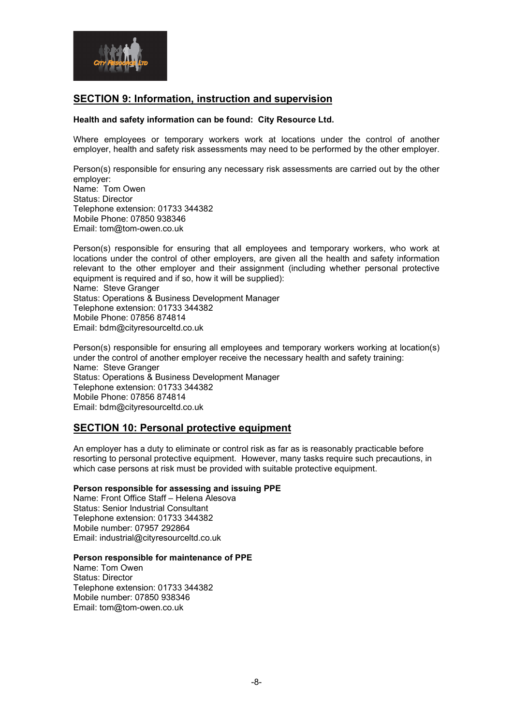

# SECTION 9: Information, instruction and supervision

#### Health and safety information can be found: City Resource Ltd.

Where employees or temporary workers work at locations under the control of another employer, health and safety risk assessments may need to be performed by the other employer.

Person(s) responsible for ensuring any necessary risk assessments are carried out by the other employer: Name: Tom Owen Status: Director Telephone extension: 01733 344382 Mobile Phone: 07850 938346 Email: tom@tom-owen.co.uk

Person(s) responsible for ensuring that all employees and temporary workers, who work at locations under the control of other employers, are given all the health and safety information relevant to the other employer and their assignment (including whether personal protective equipment is required and if so, how it will be supplied): Name: Steve Granger Status: Operations & Business Development Manager Telephone extension: 01733 344382 Mobile Phone: 07856 874814 Email: bdm@cityresourceltd.co.uk

Person(s) responsible for ensuring all employees and temporary workers working at location(s) under the control of another employer receive the necessary health and safety training: Name: Steve Granger Status: Operations & Business Development Manager Telephone extension: 01733 344382 Mobile Phone: 07856 874814 Email: bdm@cityresourceltd.co.uk

# SECTION 10: Personal protective equipment

An employer has a duty to eliminate or control risk as far as is reasonably practicable before resorting to personal protective equipment. However, many tasks require such precautions, in which case persons at risk must be provided with suitable protective equipment.

#### Person responsible for assessing and issuing PPE

Name: Front Office Staff – Helena Alesova Status: Senior Industrial Consultant Telephone extension: 01733 344382 Mobile number: 07957 292864 Email: industrial@cityresourceltd.co.uk

#### Person responsible for maintenance of PPE

Name: Tom Owen Status: Director Telephone extension: 01733 344382 Mobile number: 07850 938346 Email: tom@tom-owen.co.uk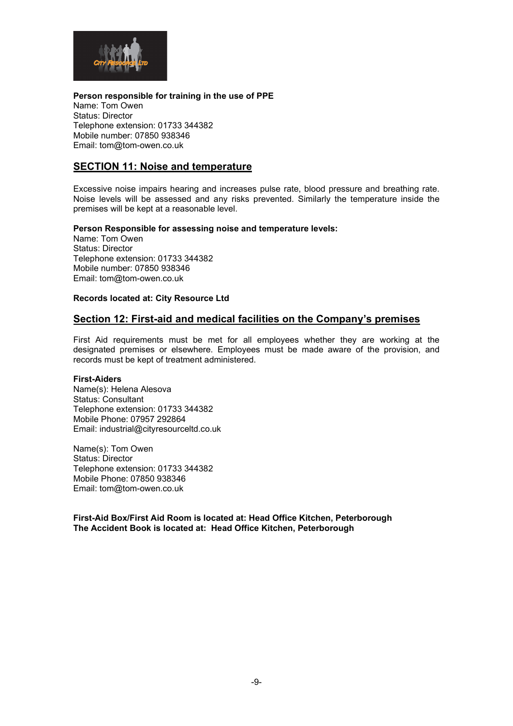

Person responsible for training in the use of PPE Name: Tom Owen Status: Director Telephone extension: 01733 344382 Mobile number: 07850 938346 Email: tom@tom-owen.co.uk

# SECTION 11: Noise and temperature

Excessive noise impairs hearing and increases pulse rate, blood pressure and breathing rate. Noise levels will be assessed and any risks prevented. Similarly the temperature inside the premises will be kept at a reasonable level.

#### Person Responsible for assessing noise and temperature levels:

Name: Tom Owen Status: Director Telephone extension: 01733 344382 Mobile number: 07850 938346 Email: tom@tom-owen.co.uk

#### Records located at: City Resource Ltd

### Section 12: First-aid and medical facilities on the Company's premises

First Aid requirements must be met for all employees whether they are working at the designated premises or elsewhere. Employees must be made aware of the provision, and records must be kept of treatment administered.

#### First-Aiders

Name(s): Helena Alesova Status: Consultant Telephone extension: 01733 344382 Mobile Phone: 07957 292864 Email: industrial@cityresourceltd.co.uk

Name(s): Tom Owen Status: Director Telephone extension: 01733 344382 Mobile Phone: 07850 938346 Email: tom@tom-owen.co.uk

First-Aid Box/First Aid Room is located at: Head Office Kitchen, Peterborough The Accident Book is located at: Head Office Kitchen, Peterborough